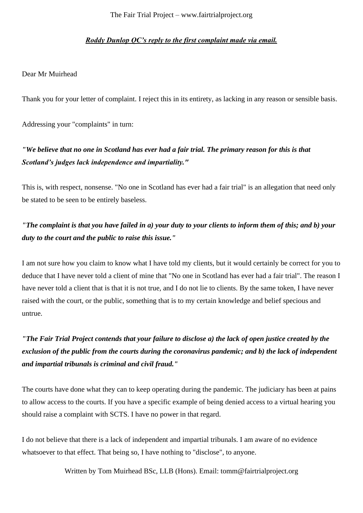#### *Roddy Dunlop QC's reply to the first complaint made via email.*

#### Dear Mr Muirhead

Thank you for your letter of complaint. I reject this in its entirety, as lacking in any reason or sensible basis.

Addressing your "complaints" in turn:

### *"We believe that no one in Scotland has ever had a fair trial. The primary reason for this is that Scotland's judges lack independence and impartiality."*

This is, with respect, nonsense. "No one in Scotland has ever had a fair trial" is an allegation that need only be stated to be seen to be entirely baseless.

## *"The complaint is that you have failed in a) your duty to your clients to inform them of this; and b) your duty to the court and the public to raise this issue."*

I am not sure how you claim to know what I have told my clients, but it would certainly be correct for you to deduce that I have never told a client of mine that "No one in Scotland has ever had a fair trial". The reason I have never told a client that is that it is not true, and I do not lie to clients. By the same token, I have never raised with the court, or the public, something that is to my certain knowledge and belief specious and untrue.

# *"The Fair Trial Project contends that your failure to disclose a) the lack of open justice created by the exclusion of the public from the courts during the coronavirus pandemic; and b) the lack of independent and impartial tribunals is criminal and civil fraud."*

The courts have done what they can to keep operating during the pandemic. The judiciary has been at pains to allow access to the courts. If you have a specific example of being denied access to a virtual hearing you should raise a complaint with SCTS. I have no power in that regard.

I do not believe that there is a lack of independent and impartial tribunals. I am aware of no evidence whatsoever to that effect. That being so, I have nothing to "disclose", to anyone.

Written by Tom Muirhead BSc, LLB (Hons). Email: tomm@fairtrialproject.org